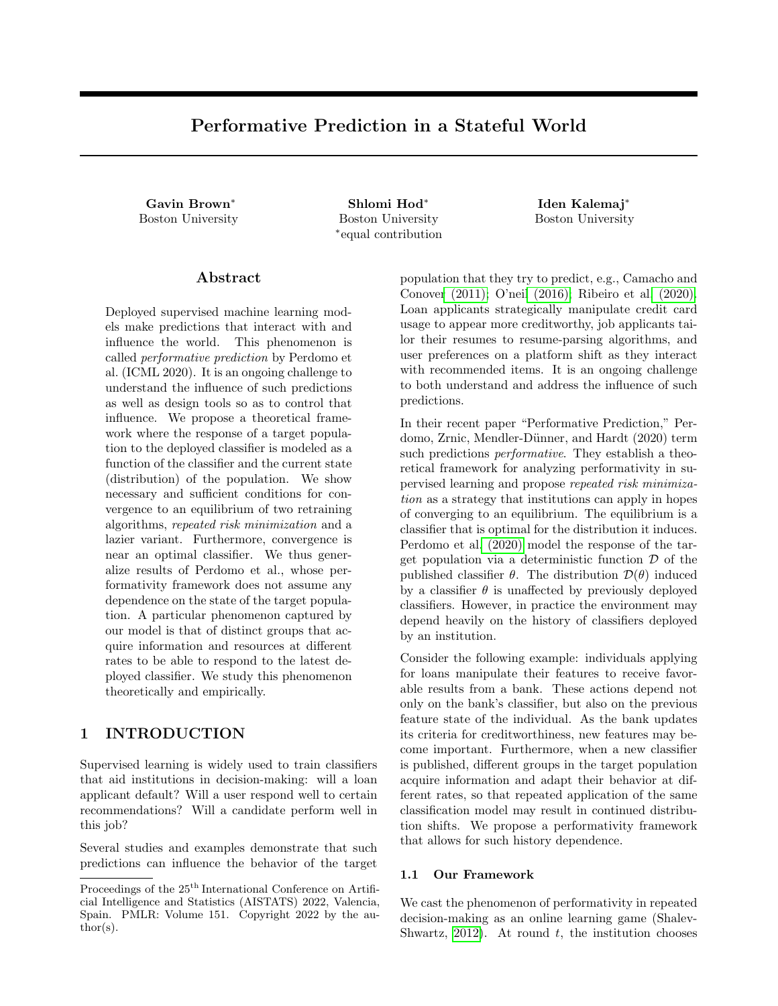# Performative Prediction in a Stateful World

Gavin Brown<sup>∗</sup> Shlomi Hod<sup>∗</sup>

Boston University Boston University ∗ equal contribution

Iden Kalemaj<sup>∗</sup> Boston University

#### Abstract

Deployed supervised machine learning models make predictions that interact with and influence the world. This phenomenon is called performative prediction by Perdomo et al. (ICML 2020). It is an ongoing challenge to understand the influence of such predictions as well as design tools so as to control that influence. We propose a theoretical framework where the response of a target population to the deployed classifier is modeled as a function of the classifier and the current state (distribution) of the population. We show necessary and sufficient conditions for convergence to an equilibrium of two retraining algorithms, repeated risk minimization and a lazier variant. Furthermore, convergence is near an optimal classifier. We thus generalize results of Perdomo et al., whose performativity framework does not assume any dependence on the state of the target population. A particular phenomenon captured by our model is that of distinct groups that acquire information and resources at different rates to be able to respond to the latest deployed classifier. We study this phenomenon theoretically and empirically.

### 1 INTRODUCTION

Supervised learning is widely used to train classifiers that aid institutions in decision-making: will a loan applicant default? Will a user respond well to certain recommendations? Will a candidate perform well in this job?

Several studies and examples demonstrate that such predictions can influence the behavior of the target population that they try to predict, e.g., Camacho and Conover (2011); O'neil (2016); Ribeiro et al. (2020). Loan applicants strategically manipulate credit card usage to appear more creditworthy, job applicants tailor their resumes to resume-parsing algorithms, and user preferences on a platform shift as they interact with recommended items. It is an ongoing challenge to both understand and address the influence of such predictions.

In their recent paper "Performative Prediction," Perdomo, Zrnic, Mendler-Dünner, and Hardt (2020) term such predictions *performative*. They establish a theoretical framework for analyzing performativity in supervised learning and propose repeated risk minimization as a strategy that institutions can apply in hopes of converging to an equilibrium. The equilibrium is a classifier that is optimal for the distribution it induces. Perdomo et al. (2020) model the response of the target population via a deterministic function  $\mathcal D$  of the published classifier  $\theta$ . The distribution  $\mathcal{D}(\theta)$  induced by a classifier  $\theta$  is unaffected by previously deployed classifiers. However, in practice the environment may depend heavily on the history of classifiers deployed by an institution.

Consider the following example: individuals applying for loans manipulate their features to receive favorable results from a bank. These actions depend not only on the bank's classifier, but also on the previous feature state of the individual. As the bank updates its criteria for creditworthiness, new features may become important. Furthermore, when a new classifier is published, different groups in the target population acquire information and adapt their behavior at different rates, so that repeated application of the same classification model may result in continued distribution shifts. We propose a performativity framework that allows for such history dependence.

#### 1.1 Our Framework

We cast the phenomenon of performativity in repeated decision-making as an online learning game (Shalev-Shwartz, 2012). At round  $t$ , the institution chooses

Proceedings of the  $25<sup>th</sup>$  International Conference on Artificial Intelligence and Statistics (AISTATS) 2022, Valencia, Spain. PMLR: Volume 151. Copyright 2022 by the author(s).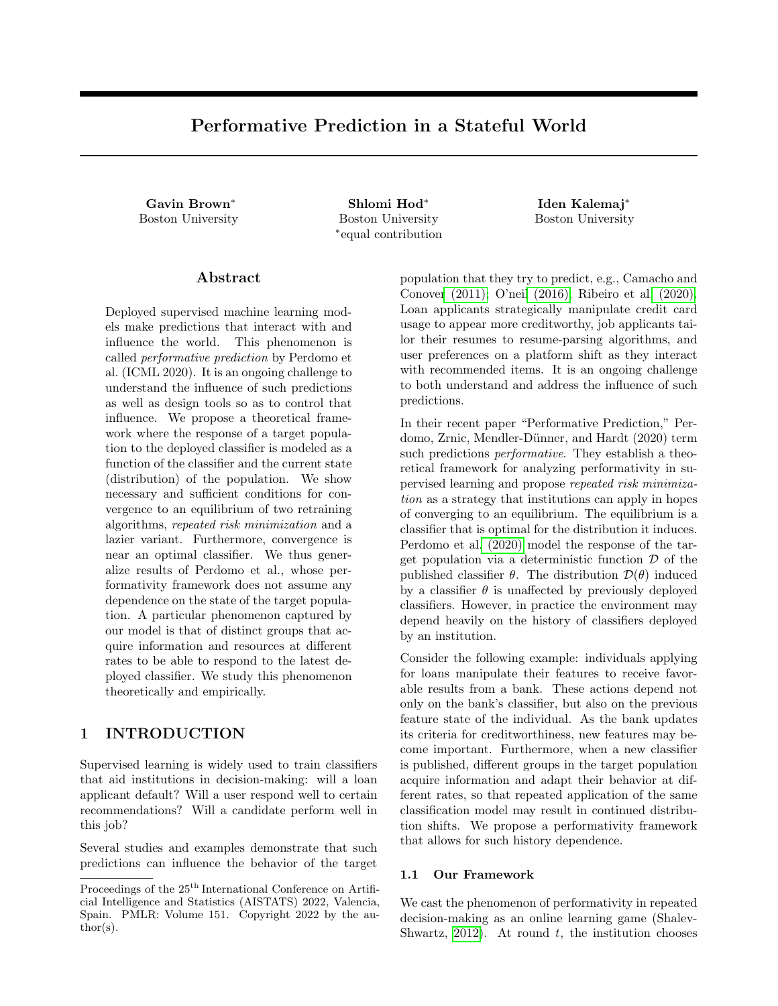a classifier  $\theta_t$  to publish. In response, the adversary picks a distribution  $d_t$  over labeled samples. The institution then suffers loss  $\mathbb{E}_{z \sim d_t}[\ell(z; \theta_t)]$  for some fixed loss function  $\ell$ . Per convention, we also refer to loss as "risk." For now, we set aside finite-sample issues and assume that the institution observes the distribution directly.

Standard online learning assumes that the adversary may be malicious and pick whichever distribution causes the greatest loss. To model state and performativity, we propose a weaker adversary that responds according to a *transition map*  $Tr$ ; mapping classifierdistribution pairs to distributions. The transition map is fixed but a priori unknown to the institution. If the institution plays  $\theta$  and the previous distribution played by the adversary was  $d$ , the adversary responds with

$$
d' = \mathsf{Tr}(d; \theta).
$$

We denote by  $\theta_1, \theta_2, \ldots$  the classifiers played by the institution, and by  $d_1, d_2, \ldots$  the distributions played by the adversary.

We call our framework *stateful*, since it incorporates the current distribution of the target population in the performative response map  $Tr(j)$ , thus possibly preserving information about the state of the population and the history of classifiers played by the institution. Our framework generalizes the stateless framework of Perdomo et al. (2020), whose implicit "transition map" depends only on the current classifier  $\theta$ .

To illustrate our framework, we provide three theoretical examples that are special instances of the model and might be of independent interest. Example 1 and Example 2 capture the particular phenomenon of individuals who act strategically but with outdated information. They provide a starting point for the study of the disparate effects of performativity. We study Example 1 both theoretically and empirically in Section 3 and Section 4, respectively.

Example 1 (k Groups Respond Slowly). Assume there is a deterministic "strategic response function"  $\mathcal{D}(\theta)$  unknown to the institution. In response to  $\theta_t$ , the distribution  $d_t$  is a uniform mixture of k distributions  $(d_t^{[j]})_{j \in [k]},$  one for each group, where

$$
d_t^{|j} = \begin{cases} \mathcal{D}(\theta_{t-j+1}) & \text{if } t-j+1 \ge 1 \\ d_0^{|j|} & \text{otherwise} \end{cases} \tag{1}
$$

Here  $d_0^{j}$  is the initial distribution for group j. Thus, Group 1 adjusts strategically to the current classifier, while groups with higher indices react to correspondingly older classifiers, modeling a setting where distinct groups receive information at different rates. When  $k = 1$  this is the setting of Perdomo et al. (2020). Example 2 (Geometric Decay Response). As in Example 1, assume that there is a fixed  $\mathcal{D}(\theta)$ . The adversary plays a mixture over past responses. For  $\delta \in [0,1],$ define

$$
\text{Tr}(d_{t-1}; \theta_t) = (1 - \delta)d_{t-1} + \delta \cdot \mathcal{D}(\theta_t).
$$

The mixture coefficients in the current distribution decay geometrically across older responses. When  $\delta = 1$ this is the setting of Perdomo et al. (2020).

Example 3 (Markov Transitions). To each classifier  $\theta$ , associate a stochastic matrix  $A$ . The transition map is defined as  $Tr(d; \theta) = A d$ .

#### 1.2 Our Results

Our goal is to devise a strategy for the institution that converges towards an approximately optimal distribution-classifier pair. Perdomo et al. (2020) propose the strategy of repeated risk minimization (RRM) where, at every round, the institution chooses the classifier that minimizes loss on the last distribution played by the adversary:

$$
\theta_{t+1} = \underset{z \sim d_t}{\operatorname{argmin}} \mathop{\mathbb{E}}_{z \sim d_t} \ell(z; \theta).
$$

It is a natural strategy, akin to retraining heuristics used in practice to deal with different kinds of distribution shifts. Perdomo et al. (2020) analyze RRM in the stateless framework and show that, under convexity and Lipschitz assumptions, it will converge to a near-optimal classifier.

In our setting, when the history of previous classifiers can influence the distribution, it is not clear if such an iterative retraining procedure will succeed. In Example 4, we demonstrate that there are parameter settings for which RRM converges in the stateless model but not in the stateful one.

To control the extent of the performative response, we follow the approach of Perdomo et al. (2020) and impose a Lipschitz requirement on the transition map. It ensures that small changes in the distribution or classifier yield only small changes in the updated distribution. Let Θ denote the set of classifiers, which we assume is a closed convex subset of  $\mathbb{R}^d$ , and let  $\Delta(\mathcal{Z})$ be the space of distributions over examples.

**Definition 1** ( $\varepsilon$ -joint sensitivity). The transition map  $Tr(j)$  is  $\varepsilon$ -jointly sensitive if, for all  $\theta, \theta' \in \Theta$  and  $d, d' \in \Delta(\mathcal{Z}),$ 

$$
\mathcal{W}_1(\text{Tr}(d; \theta), \text{Tr}(d'; \theta')) \leq \varepsilon \mathcal{W}_1(d, d') + \varepsilon ||\theta - \theta'||_2,
$$

where  $W_1$  denotes the Wasserstein-1 distance between distributions.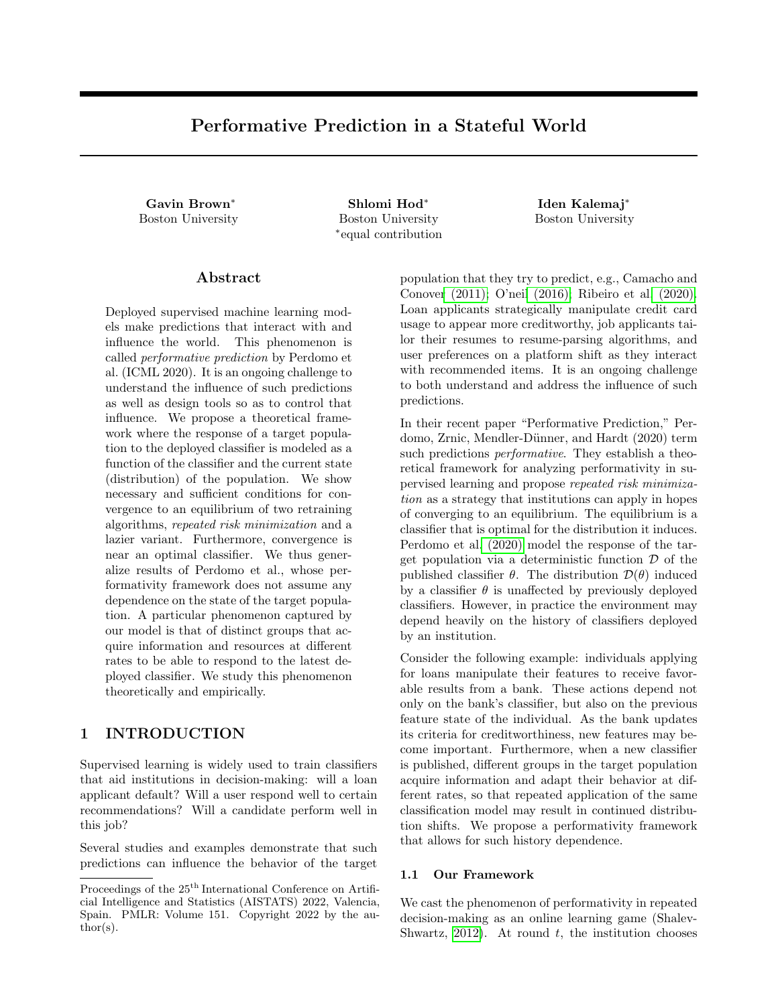In our model, even repeated deployment of the same classier can cause \thrashing" behavior, e.g., alternating between two distributions. Therefore, we focus on scenarios where the Lipschitz parameter satis es " < 1. In this case, the map  $Tr$ (; ): (Z)! (Z) is contractive, and repeated application of the same classier causes the induced distributions to converge to a xed point that depends only on . The concept of a xed point distribution for every classier is a key aspect of our framework and results. Intuitively, this models behavior where the environment will eventually settle on a single response to the institution's classier.

In the setting where " $\lt$  1, we devise algorithms that converge to an equilibrium pair: a xed point distribution and a classier that achieves minimum loss on this distribution. Delayed RRM is a rst attempt at an algorithm that converges to an equilibrium pair. It repeats the following: repeatedly deploy the same classier until we approach a xed point distribution and only then retrain a classier that minimizes risk on the current distribution. The goal of Delayed RRM is to overcome the stateful aspect of the population's response by only training on distributions that are close to xed point distributions. However, it suers the delay of having to deploy the same classier for multiple rounds.

Theorem 1 (Informal, see Theorem 8 in Supplement). If the loss function  $(z; )$  is smooth and strongly convex and the transition map $Tr(d; )$  is Lipschitz in both arguments, then Delayed RRM converges to an equilibrium distribution-classier pair, coming within distance in  $O(log^2 1 = 1)$  rounds.

As our main result, we show that this delay in retraining is not necessary. We show su cient conditions, very similar to those in Theorem 1, under which RRM converges to an equilibrium pair. The rate of convergence is much faster than Delayed RRM.

Theorem 2 (Informal, see Theorem 4). If the loss function  $(z; )$  is smooth and strongly convex and the transition map Tr(d; ) is Lipschitz in both arguments, then repeated risk minimization converges to an equilibrium distribution-classier pair, coming within distance in  $O(log 1=)$  rounds.

As dened, these algorithms require direct access to the data distribution. We also analyze a nite-sample version of RRM and obtain results on the number of datapoints that must be sampled at each round to guarantee linear convergence to the equilibrium pair (see Theorem 5).

For some settings, Delayed RRM may require fewer retraining rounds than RRM until convergence. In Section 3, we compare the two strategies for the scenario of k Groups Respond Slowly (Example 1). This scenario

naturally invites a Delayed RRM approach: delay retraining for k rounds until all groups have caught up to the latest classier. We show that the two algorithms converge to an equilibrium at similar rates in terms of deployment rounds, but if we are only concerned with retraining resources, Delayed RRM is superior.

While converging to an equilibrium pair is a desirable outcome for the institution, this might not be the optimal outcome. We formalize the notion of an optimal strategy within our stateful performativity framework. The concept of xed point distributions is again key to this de nition. We show that repeated risk minimization also provides a means to approximate such optimal strategies.

Theorem 3 (Informal, see Theorem 6). If the loss function `(z; ) is Lipschitz and strongly convex and the transition map  $Tr(d; )$  is Lipschitz in both arguments, all equilibrium pairs and optimal pairs lie within a small distance of each other.

Theorem 2 and Theorem 3, which we state formally in Section 2, generalize results of Perdomo et al. (2020) in the stateless framework to our stateful framework. We include complete proofs in the supplementary material.

### 1.3 Related Work

Our work is closely related to that of Perdomo et al. (2020). Various aspects of the stateless performativity framework of Perdomo et al. (2020) have been studied, such as stochastic and zeroth-order methods for converging to an equilibrium (Drusvyatskiy and Xiao, 2020; Maheshwari et al., 2021; Mendler-Danner et al., 2020), convergence to the optimal classier as opposed to an equilibrium (Izzo, Ying, and Zou, 2021; Miller, Perdomo, and Zrnic, 2021), regret minimization (Jagadeesan, Zrnic, and Mendler-Dunner, 2022), and characterization of regions of attraction for different equilibria (Dong and Ratli, 2021). Narang et al. (2022) propose a multi-player performativity framework where the population reacts to competing institutions' actions. Strategic classication, a term coined by Hardt et al. (2016), is one speci c instantiation of performative prediction that has received much attention, e.g., Bechavod et al. (2021); Chen, Liu, and Podimata (2020); Dong and Ratli (2021); Haghtalab et al. (2020); Hu, Immorlica, and Vaughan (2019); Milli et al. (2019); Munro (2020); Shavit, Edelman, and Axelrod (2020); Tsirtsis and Rodriguez (2020); Zrnic et al. (2021). Strategic classication studies the behavior of individuals who wish to achieve a more preferable outcome from a classier by manipulating their attributes without changing their true label. Hu, Immorlica, and Vaughan (2019) study the disparate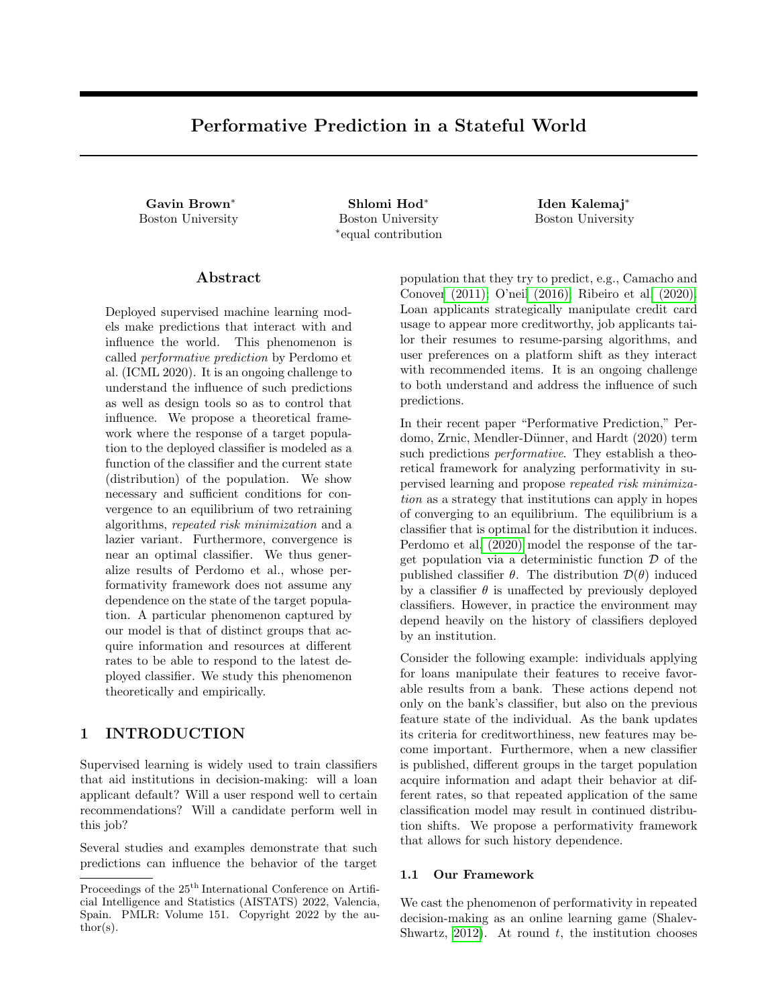e ect of strategic manipulation when groups face different costs to manipulation. In k Groups Respond Slowly (Example 1), we model a dierent aspect of disadvantage, namely access to information.

Prior to our work, Li and Wai (2021) were the only ones to also consider a stateful setting for performative prediction. They study stochastic optimization in the case when the institution samples only one datapoint (or minibatch) at each round, and the updated sample depends both on the current classier and the previous sample. The samples evolve according to a controlled Markov Chain that depends on the current classier. The key conceptual dierence between the two frameworks is that we update the population-level data based on the previous distribution rather than the realized data from that distribution. Our model subsumes a setting where distributions are updated according to a classier-dependent Markov chain (see Example 3).

Wood, Bianchin, and Dall'Anese (2021) also propose a more general framework than that of Perdomo et al. (2020), where for every roundt a function  $D_t$  maps the classier to the updated distribution. In contrast to our framework, the updated distributions do not depend on previous distributions. While our framework does not explicitly track time, this can be encoded into the transition function with a simple trick. The focus of Wood, Bianchin, and Dall'Anese (2021) is on stochastic optimization, whereas we mainly obtain population-level results.

Following a preliminary version of our work, Ray et al. (2022) study the geometrically decaying setting of Example 2 and analyze algorithms that converge to the optimal point. In their work, the institution has oracle access (for a xed batch size) to either the empirical gradient of the loss or the empirical loss function. They provide high probability nite sample guarantees for both types of oracle access. Izzo, Zou, and Ying (2021) study convergence to an optimal point within our framework and provide convergence and sample complexity guarantees, under the assumption that the distributions induced by the classier are parametric.

Stochastic programming and robust optimization are two general frameworks for modeling optimization problems that involve uncertainty. Within these frameworks, a body of work has studied the case when the system's performance uncertainty depends on the decision variables. Such a setting is usually referred to as decision-dependent distributions or endogenous uncertainty. We refer to Hellemo, Barton, and Tomasgard (2018) and Luo and Mehrotra (2020) and references within for an overview.

Performative prediction can be seen as a special case of reinforcement learning, but the former aims to abstract di erent phenomena. Performative prediction is designed to capture settings where supervised learning with retraining is a common approach. We explore when natural extensions of supervised techniques to handle performativity (namely RRM) can still succeed and the full strength and complexity of reinforcement learning techniques (such as learning the Q-value function) are unnecessary. For instance, RRM is an algorithm that explicitly only \exploits" and never \explores."

# 2 FRAMEWORK AND MAIN RESULTS

In this section, we formally state our main results and the relevant de nitions. We parameterize machine learning models by real-valued vectors 2. In round t, the institution chooses a classi er  $_t$ . The adversary responds with a distribution  $d_t$  2 ( Z ) over instances  $z = (x, y)$  2 R<sup>m 1</sup> R of feature-label pairs. The adversary is restricted to pick its distribution according to a deterministic transition map:

$$
Tr: (Z)! (Z);
$$

so that  $Tr(d_{t-1}; t) = d_t$ . We assume that an initial distribution  $d_0$  is publicly known.

|                                                 | Algorithm 1 Performative prediction with state        |  |      |
|-------------------------------------------------|-------------------------------------------------------|--|------|
|                                                 | 1: Initial distribution $d_0 2$ ( Z) . Publicly known |  |      |
| 2: for $t = 1, 2, \ldots$ do                    |                                                       |  |      |
|                                                 | 3: Institution publishes $+2$ .                       |  |      |
|                                                 | 4: Adversary computes $d_t = Tr(d_{t-1}, t)$ .        |  |      |
| 5:                                              | Institution observes $d_t$ , suers                    |  | loss |
| $E_{z}$ d <sub>t</sub> $\left[\right]$ (z; t)]. |                                                       |  |      |

### 2.1 Repeated Risk Minimization and Stable Pairs

Perdomo et al. (2020) propose the following strategy for the institution: at each round, play the classi er that minimizes loss on the previous distribution. We investigate the same strategy in our stateful framework.

De nition 2 (Repeated Risk Minimization (RRM)). Denote by  $G(d)$  the risk minimizer<sup>\*</sup>:

$$
G(d) := \underset{0}{\text{argmin}} \, E_d^{\bullet}(z; \, \theta)
$$

For the scenarios we consider, the set of minimizers will be non-empty. When the set has more than one element, RRM chooses a value from the set arbitrarily.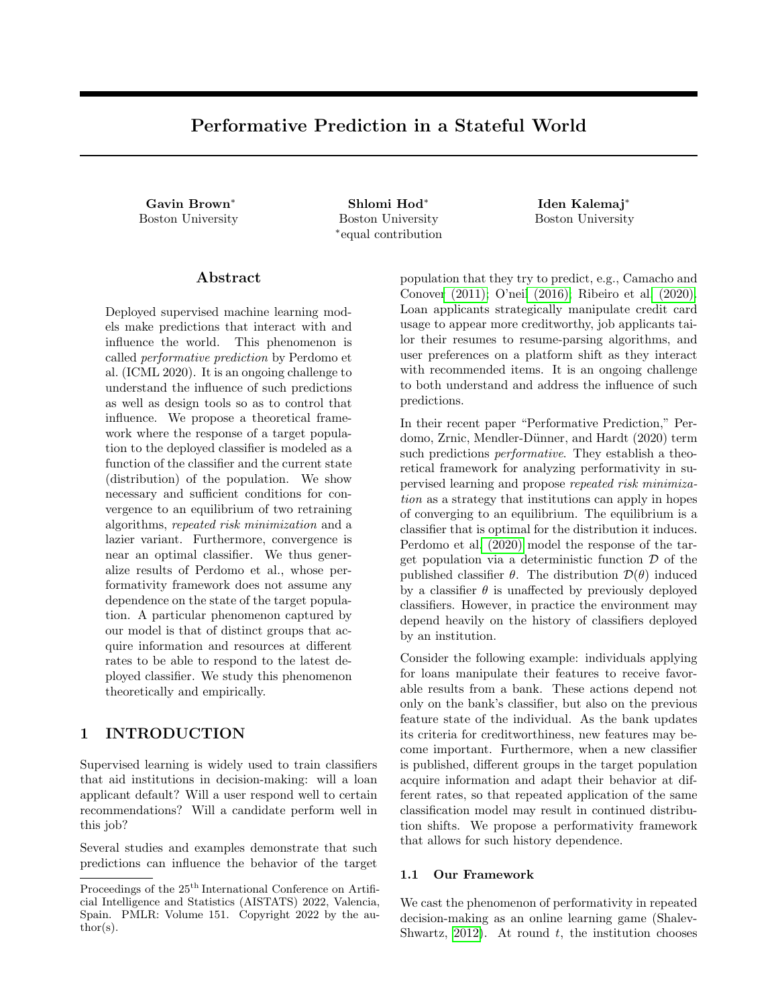Following the notation of Algorithm 1, at round t, the institution updates its classi er to  $t = G(d_{t-1})$ .

For clarity, we de ne additional notation wrapping the institution's and adversary's actions into one step.

De nition 3 (RRM map). De ne the RRM map f :  $(Z)$  !  $(Z)$  as:

$$
f(d; ) = (Tr(d; ); G(Tr(d; ))) :
$$

In our game,  $f(d_{t-1}; t) = (d_t; G(d_t)) = (d_t; t_{t+1}).$ 

We consider two su cient conditions for the convergence of RRM in objective value: approaching axed point distribution and approaching a classi er that is optimal for this distribution.

De nition 4 (Fixed point distribution). A distribution d is a xed point for if  $Tr(d; ) = d$ .

De nition 5 (Stable Pair). A distribution-classi er pair  $(d_s; s)$  is a stable pair if the following hold:

1.  $d_S$  is a xed point distribution for  $s$ .

2.  $s = G(d_s)$ , i.e. s minimizes the loss onds.

Once the game approaches the distributiond<sub>S</sub>, the institution can repeatedly play  $\,$  s with no need for retraining, while incurring the lowest possible loss on the distribution  $d_S$ . It is not obvious, however, that such stable pairs exist for every setting. Nevertheless, we shows sucient conditions on the loss and transition function for RRM to converge to a stable pair.

De nition 6 (Strong convexity). A loss function  $(z; )$  is -strongly convex if, for all ;  $0$  2 and z 2 Z ,

$$
(z; )
$$
  $(z; 9 + r ) (z; 95) ( 9 +  $2k (z)$$ 

De nition 7 (Smoothness). A loss function  $(z; )$ is -jointly smooth if the gradient with respect to is -Lipschitz in and z, i.e.,

kr '(z; ) r '(z; 
$$
^0
$$
k<sub>2</sub> k  $^0$ k<sub>2</sub>;  
kr '(z; ) r '(z<sup>0</sup>, )k<sub>2</sub> kz z<sup>0</sup>k<sub>2</sub>;

for all  $\div$  <sup>0</sup>2 and z;  $z^{0}$  2 Z.

The next example shows that, without the right interplay of the above parameters, there are settings for which RRM may not converge.

Example 4 (RRM may not converge). Take the loss function to be the squared loss`(z; ) = ( $y$ 2 for 2 [1; 1 ). The loss function is -jointly smooth and -strongly convex, with  $=$  = 2. Consider the transition map  $Tr(d; ) = 1 + "d + "$ , which operates on point mass distributions d 2 [1; 1 ) of the outcome y. Clearly, the transition function Tr is "-jointly sensitive. Finally, let some  $d_0$  2 [1; 1 ) be the starting distribution of the game.

When the institution uses RRM starting from  $d_0$ , we get that:

$$
t_{t+1} = G(d_t) = \underset{z}{\text{argmin}} \, E_{d_t} (z; ) = d_t;
$$
  

$$
d_{t+1} = Tr(d_t; t_{t+1}) = 1 + "d_t + "t_{t+1})
$$

Hence,  $t_{+2} = d_{t+1} = 1 + d_{t} + d_{t+1} = 1 + 2d_{t+1}$ :

The distance between two successive classiers is  $j_{t+2}$   $t_{+1}$  j = j(1+2"  $t_{+1}$ )  $(1+2"$   $t_{+1})$  = 2"j  $t_{+1}$ j. If we only require " <  $-$  = 1, then whenever " >  $\frac{1}{2}$ , the sequence of 's produced by RRM fails to converge. When  $\sqrt[n]{5} < \frac{1}{1+2} = \frac{1}{2}$ , the sequence converges.

Our main result is sucient conditions for the convergence of RRM in the stateful framework. Endow the space  $(Z)$ with the product metric dist(; ), so that

dist((d; ); (d<sup>0, 0</sup>)) = W<sub>1</sub>(d;d<sup>0</sup>) + k 
$$
{}^{0}
$$
k<sub>2</sub>:

Theorem 4. Suppose the transition map $Tr($ ; ) is "jointly sensitive and the loss function  $(z; )$  is jointly smooth and -strongly convex. Let  $=$  "(1+ -). Then for the RRM map f, and all  $d; d^0$  2 Z and  $; 02$ , it holds that

- (a) dist(f (d; ); f (d<sup>0</sup>;  $^0$ )) dist((d; );(d<sup>0</sup>; <sup>0</sup>)).
- (b) In particular, if  $\leq$  1, then f has a unique xed point which is a stable pair with respect to $Tr( ; )$ . RRM will converge to this stable pair at a linear rate.

In the introduction, we discussed Delayed RRM, which is a more complex approach to convergence in the stateful setting. Since RRM converges faster, we keep further discussion of Delayed RRM for the Supplementary Material, where we state and prove Theorem 8.

Finally, we analyze the empirical counterpart of RRM, where at each round the institution only has access to a nite sample from the distribution.

De nition 8 (Repeated Emprical Risk Minimization  $(RERM)$ . At timestep t, sample  $n_t$  samples from  $d_{t-1}$ . Let  $\mathfrak{E}_{t-1}$  be the uniform distribution on the  $n_t$  samples from  $d_{t-1}$ . Update the classi er to  $t =$  $G(\mathbb{G}_{t-1})$ .

Theorem 5. Suppose that the  $loss(z; )$  is -jointly Lipschitz and -strongly convex and there exist > 1; > 0 such that  $\sum_{R} e^{jx} d^{0}(dx)$  is nite for all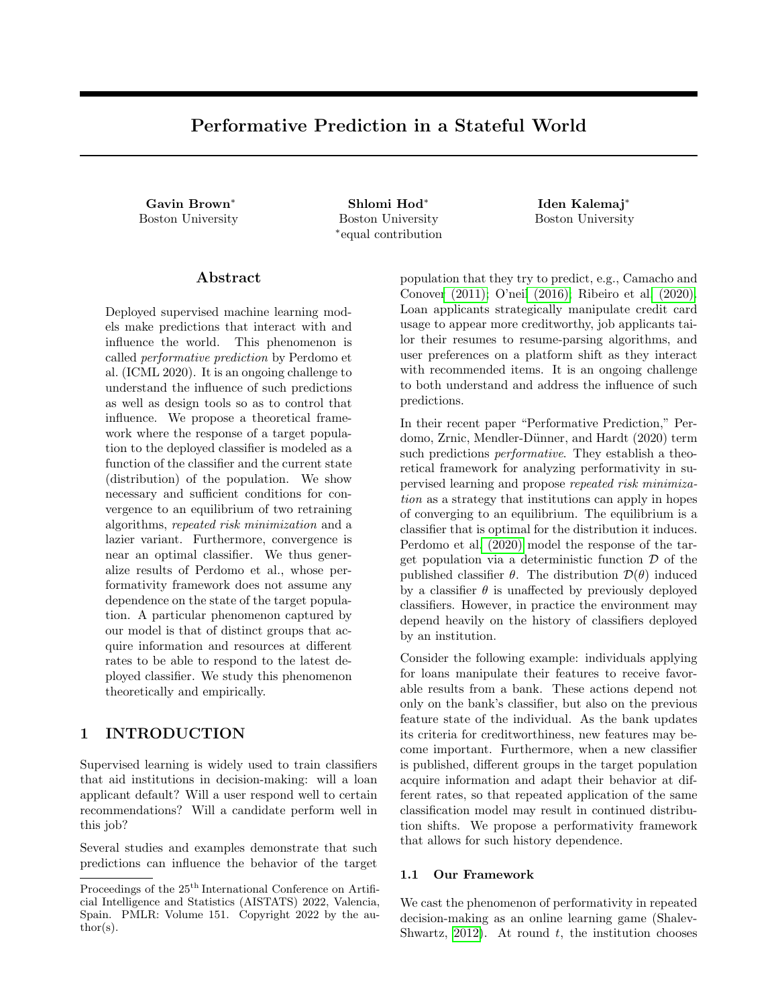$d^0$  2 ( Z). Fix 2 (0; 1) to be a radius of convergence. Consider running RERM with  $n_t = O \frac{\log(t=p)}{\binom{n}{t+1} m}$ samples at time  $t$ . If the transition map  $Tr($ ;  $)$  is "jointly sensitive and  $2^{n}$  1 +  $-$  < 1, then with probability 1 p, the iterates of RERM are within a radius of a stable pair for t 1 2"  $1+ -$  O(log(1= )).

Our conditions for convergence of RRM and RERM are similar to, but stricter than, those of the setting of Perdomo et al. (2020). In particular, their results for convergence of RRM only require that"  $< -$ . Example 4 shows that our requirement is necessary.

### 2.2 Optimality

Theorem 4 guarantees that RRM converges to an equilibrium, but this stable pair might not be optimal with respect to loss. In fact, it is not obvious how to de ne the notion of \optimal classier," since the sequence of distributions played by the adversary depends on the initial distribution. Therefore, to de ne optimality, we restrict our attention to scenarios where the transition map  $Tr(j)$  is "-jointly sensitive with " < 1. In this setting, repeatedly applying the same classier causes convergence to a single distribution (De nition 4).

Claim 1. If the transition map  $Tr($ ;  $)$  is "-jointly sensitive with "  $<$  1, then for each  $2$ , there exists a unique xed point distribution d . For any starting distribution  $d_0$ , iterated application of the same classier will result in a sequence of distributions that converges tod at a linear rate.

Claim 1 follows immediately from Banach's xed point theorem.

Our de nition of the optimal strategy considers the \long-run" loss of a xed classier. Assume the institution plays the same xed classier for all rounds of the game. We measure the long-run loss of as the loss on its corresponding xed point distribution d . The optimal is the one which minimizes its long-run loss.

De nition 9 (Optimality). The long-run loss of a classi er is the loss  $E_{\rm z}$   $\sim$  (z; ), whered denotes the unique xed point distribution for the classier . A classi er  $_{\text{OPT}}$  is optimal if it achieves the minimum long-run loss amongst all classiers in .

If an institution had prior knowledge of the transition map, a reasonable strategy would be to play the xed classi er  $_{\text{OPT}}$  for all rounds of classi cation. We note that if  $Tr(j)$  is "-jointly sensitive with " 1 then  $_{OPT}$ may not be de ned.

Our de nitions of stability and optimality generalize

those of Perdomo et al. (2020) for the stateless framework. As pointed out in Perdomo et al. (2020), for a given setting, the optimal classier does not necessarily coincide with a stable classier. Our next result shows that RRM approximately approaches optimal classiers.

Theorem 6. Suppose that the loss  $(z; )$  is  $L_z$ -Lipschitz, -strongly convex, and that the transition map is "-jointly sensitive with "  $<$  1. Then for every stable classi er  $\,$ s and optimal classi er  $\,$  optime it holds

$$
k_{OPT} \qquad sk_2 \quad \frac{2L_z"}{(1'')}
$$

### 3 k GROUPS RESPOND SLOWLY

Consider the setting of Example 1, where the target population contains k distinct subpopulations. The j th subpopulation, for j 2 [k], responds strategically to the classier from j rounds ago. This provides a simple model for investigating performativity in settings where information propagates at di erent rates. For distribution d, let d<sup>jj</sup> be the distribution conditioned on being in groupj , and denote the mixture by  $d = (d^{j1}; d^{j2}; \dots; d^{jk})$ . Then the transition function is

$$
Tr((d_t^{j1}; \ldots; d_t^{jk}); t) = (D(t), d_t^{j1}; \ldots; d_t^{jk-1})
$$

We compare two algorithms in this setting: RRM and k-Delayed RRM (Algorithm 2), which in this setting is similar to Delayed RRM. This algorithm updates the classier only every k rounds, after all groups have caught up to the latest deployed classier and thus have the same distribution.

| Algorithm 2 k-Delayed RRM                           |                           |
|-----------------------------------------------------|---------------------------|
| 1: input: number of groups k 2 N, initial distribu- |                           |
| tion $d_0$ 2 ( Z)                                   |                           |
| 2: Let = $G(d_0)$ ; publish .                       |                           |
| 3: for $t = 1, 2, $ do                              |                           |
| 4: Observed <sub>t</sub> .                          | . $d_t = Tr(d_{t-1}; )$ . |
| 5: If t mod $k = 0$ , update<br>$= G(d_t)$ .        |                           |
| Publish.<br>6:                                      |                           |
|                                                     |                           |

Eectively, Algorithm 2 performs RRM on the map D( ) every k rounds, which is the setting of Perdomo et al. (2020). Thus, its rate of convergence is times of the rate of convergence of RRM in the stateless framework where  $k = 1$ .

Theorem 7 states the performance of the two algorithms. We note that the transition map de ned above is not "-jointly sensitive for any  $"$  < 1, so our proof of convergence of RRM requires additional analysis beyond Theorem 4. Furthermore, note that the assump-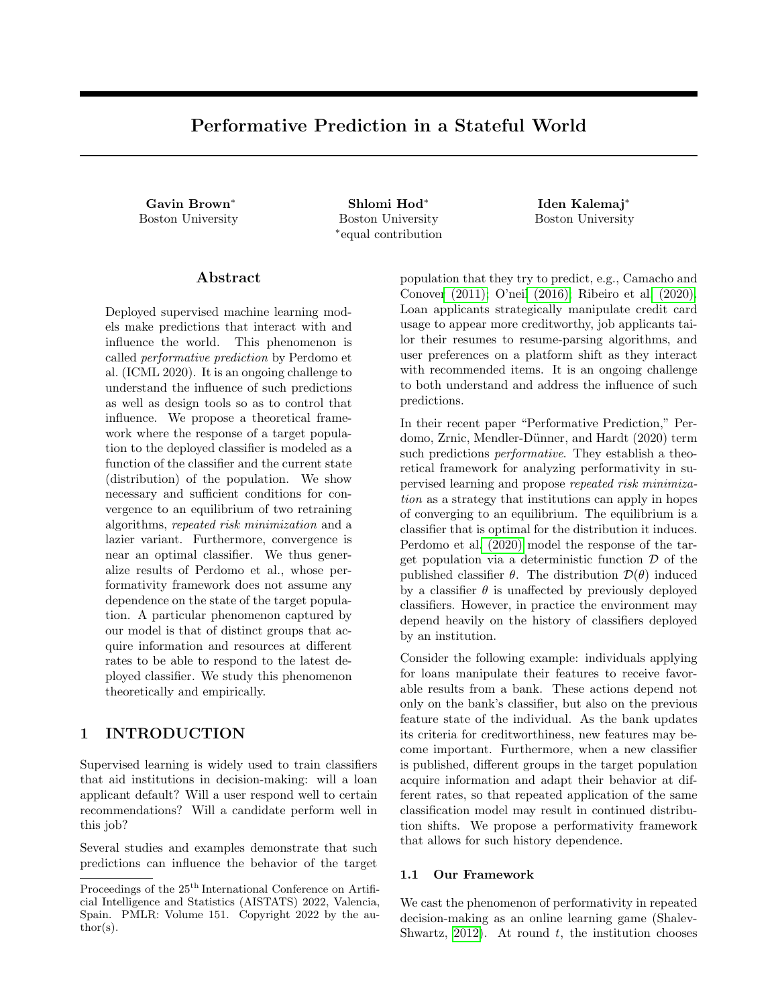Figure 1: Convergence of RRM andk-Delayed RRM for varying values of " and  $k = 3$ . The horizontal axis shows the number of retraining rounds and the vertical axis shows the distance between successives.

tion on D( ) corresponds to the notion of sensitivity of Perdomo et al. (2020).

Theorem 7. Suppose that, for some" > 0 and for all  $\div$  02 , the deterministic strategic response map satis es  $W_1(D($  ); D( $^0$ )) "k  $\mathcal{R}_2$ . Additionally suppose that the loss function  $(z; )$  is -jointly smooth and -strongly convex. For  $" < -$ , the iterates of k-Delayed RRM and RRM converge to  $\,$ s at rate  $k(1 \t" - )^t$ .

One advantage of Algorithm 2 is that it can require fewer retraining rounds, possibly requiring fewer computational resources. On the other hand, RRM does not require prior knowledge of the number of groups k.

## 4 SIMULATION

Strategic classi cation studies the behavior of individuals who wish to achieve a more preferable outcome from a classier by manipulating their attributes without changing their true label (Hardt et al., 2016). It is one instantiation of performative prediction. We adapt a simulation of loan applications in Perdomo et al. (2020), implemented using theWhyNotPython package (Miller, Hsu, et al., 2020), and enrich it with state. We demonstrate the convergence of RRM and k-Delayed RRM for the scenario ofk Groups Respond Slowly (Example 1) in a credit score setting. We run our experiments on a desktop computer.

The distribution for each of the k groups is deterministically initialized as an instance of the baseline distribution. The baseline distribution is the uniform distribution over samples in Kaggle's GiveMeSomeCredit dataset (Kaggle, 2011) consisting o $N = 18$ ; 357 indi-

" https://github.com/shlomihod/ performative-prediction-stateful-world viduals. Hence, there arekN individuals in the whole population.

An individual's strategic response is based on cost and utility functions that take into account the published classier and the attributes of the individual taken from the GiveMeSomeCredit dataset. However, the groups may respond to dierent 's at the same round.

The parameter " controls the strength of the strategic response; larger values allow greater manipulation. We run the simulation for k Groups Respond Slowly using both RRM and k-Delayed RRM, for  $k = 3$ , " 2 f 1; 25; 75g, and 300 rounds. Note that for  $k = 1$ the two algorithms are identical and the simulation is the same as the stateless setting of Perdomo et al. (2020). Refer to Appendix B.1 for a detailed description of the simulation.

Figure 1 shows the game dynamics when the institution uses the two di erent algorithms. The vertical axis shows the distance between successively trained classiers. Recall that in k-Delayed RRM the classi er is retrained once in k rounds (in constrat to RRM where retraining happens every round). Therefore, to depict convergence of the algorithms we plot the distance between successively trained classiers against the number of retraining rounds.

Since the initial distribution consists of k copies of the GiveMeSomeCredit dataset, the same classier is deployed at the rst retraining round for each ", and only the most advantaged group responds strategically. For larger ", the individuals from the most advantaged group respond with a larger update to their features, and therefore in the second round, the institution trains a classi er which is further from the rst. In Figure 1 we can see a lower value o $k_{2}$   $1/k_{2}$  for  $" = 1$  than for the settings of  $" = 25$  and  $" = 75$ .

For " 2 f 1; 25g, we see thatk-Delayed RRM converges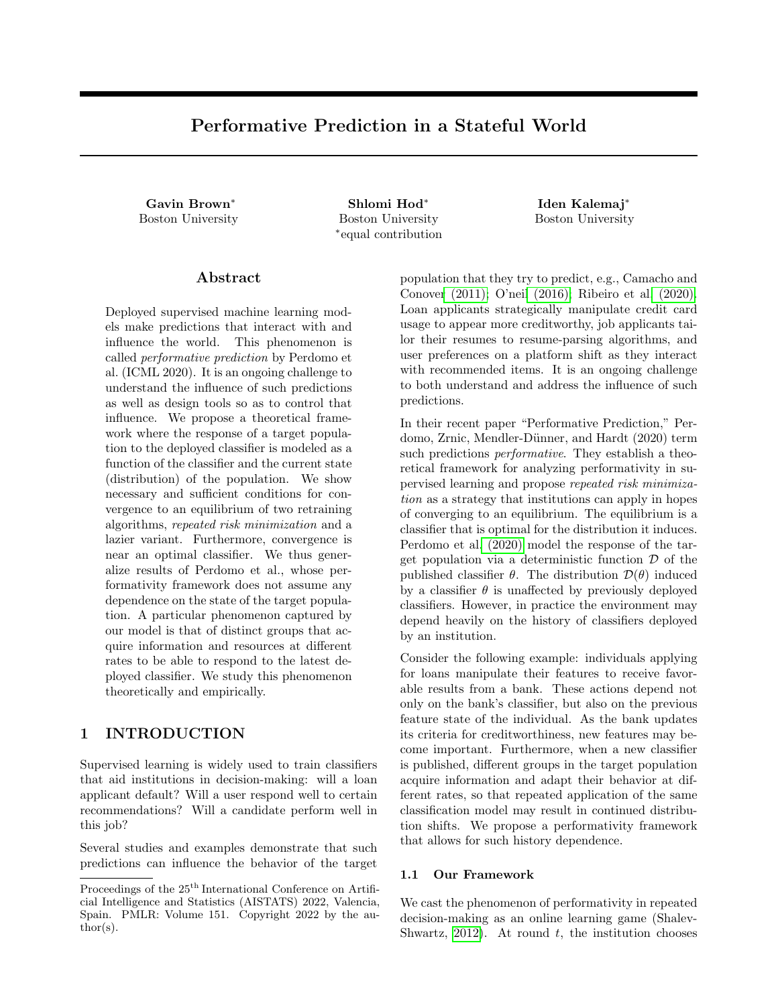faster than RRM in terms of number of retraining rounds. Although not depicted here, RRM was superior to k-Delayed RRM in terms of number of rounds (elapsed time) until convergence for all parameter settings we considered. Thus, an important consideration for practitioners in choosing an algorithm is whether elapsed time or retraining resources used until convergence is the more valuable metric.

Interestingly, as demonstrated in Figure 2, for " < 75 both algorithms reach high accuracy much faster than they converge to the stable pair, and there is little difference between the accuracy dynamics of RRM and  $k$ -Delayed RRM. For  $" = 75$ , the accuracy increase of k-Delayed RRM is much slower than that of RRM. In Figure 2, at round  $t = 0$  we show the accuracy of the rst deployed classier before the strategic response, i.e. the accuracy with respect to the baseline distribution. In all other rounds, the accuracy of the classier is shownafter the strategic response.

Finally, we study the game dynamics from the perspective of the target population, stratied by the k groups. Due to the di erent rate of information acquisition, there is a hierarchy of advantage among the groups. Intuitively, the group that responds rst to the latest deployed classi er has anadvantage compared to other groups. We investigate if this hierarchy of advantage translates into a disparity between groups in the bene t they achieve from their strategic response. This raises a question of whether the choice of algorithm can mitigate the disparity e ect. We conjecture that since k-Delayed RRM allows the groups to reach a homogeneous distribution, it is preferable to RRM in terms of per-group disadvantage.

We investigate the per-group negative rate (NR), the proportion of individuals that are predicted unlikely to default, as a measure of the groups' bene t from their strategic response. We focus  $\sigma$ <sup> $A$ </sup> = 25 in our analysis. Figure 3 shows that in the initial rounds  $(1 + 10)$ , before NR converges to the same value for all groups, there is a noticeable di erence between the groups for both algorithms. When accumulated over the rst 10 rounds, the most advantaged group has 207% and 2:09% more negative predictions than the most disadvantaged group for RRM and k-Delayed RRM, respectively. It appears that in this simulation there is no clear advantage to either one of the algorithms in terms of per-group disparity.

The de nition of k Groups Respond Slowly allows for di erent initial distribution for each group. In Appendix B.2, we run additional experiments with varying initial distributions for the groups to supplement our existing results.

## 5 DISCUSSION

This work models the important role that the history of institutional predictions plays in shaping the behavior of individuals. The addition of state to the formal model of performativity opens up a new venue for discussing the social impact of machine predictions. Examples include the structural changes that enable individuals to succeed under such modes of classication and the disparate impact of predictions on groups over time. We believe the setting of Example 1,k Groups Respond Slowly, provides an excellent starting point for future investigation of the interaction between performativity and fairness in the presence of information disparities.

The theoretical assumptions in this work constrain either the loss function or the transition function. While an institution controls the loss function, there is no clear way to verify in practice the existence of a xed, deterministic transition function, let alone its sensitivity. Our theoretical guarantees are thus best interpreted in practice as conditional statements: if the world's response is not too sensitive to prior history or the institution's choices, the simple and widely used heuristic of RRM is sensible.

This work focuses on the goal of convergence, but if convergence is not a priority for the institution then it may be interesting to study which measures of the institution's success best apply to the setting of performativity. Regret is widely studied in online learning, but lacks a clear interpretation in settings where the adversary can adapt to the player. Empirically, studying other applications where performativity arises could provide important theoretical insight into this phenomenon.

## 6 SOCIETAL IMPACT

Our work assumes a simple and abstract model of repeated decision-making. While the study of performativity in prediction may have wide social e ects in general, we do not believe this paper will have direct ethical or social consequences.

#### Acknowledgements

The authors would like to thank Adam D. Smith for fruitful conversations and guidance, and Ran Canetti for helpful comments.

<sup>…</sup>We stress that the operationalization of disadvantage and access to information is deliberately abstracted in our model, and we do not attempt to fully capture these complex societal concepts.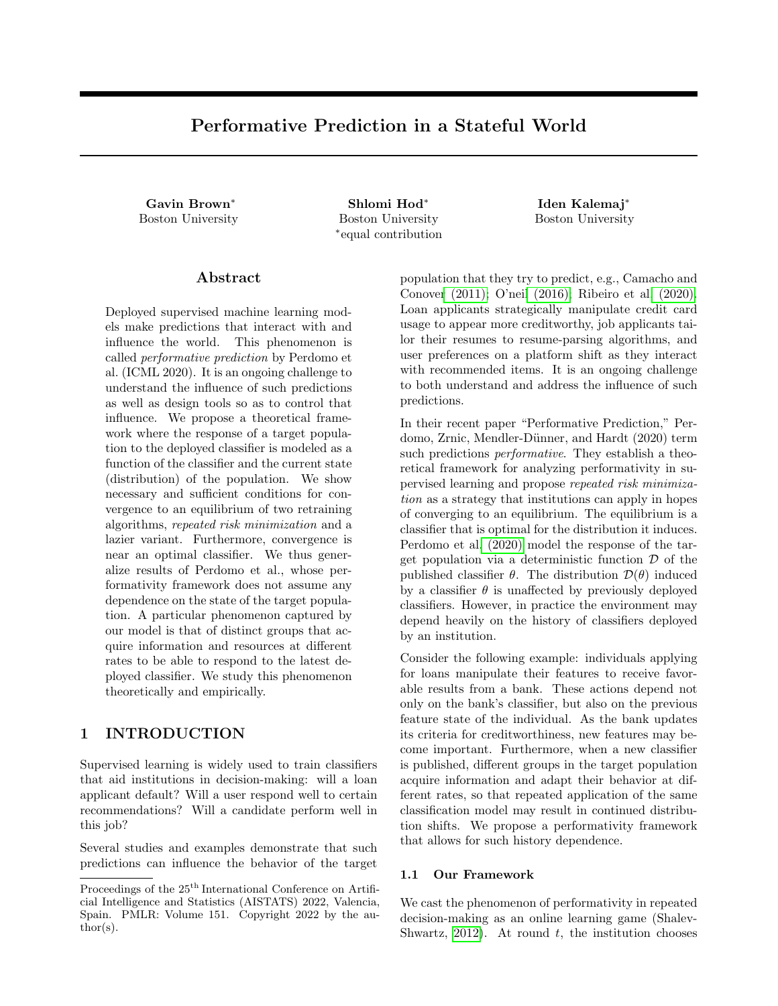Figure 2: Accuracy of RRM and k-Delayed RRM for di erent  $"$  and  $k = 3$ . The horizontal axis shows the number of rounds and the vertical axis shows the accuracy of the published model after the strategic response.

Figure 3: Negative rate of RRM and k-Delayed RRM for " = 25 and  $k = 3$ . The horizontal axis shows the number of rounds and the vertical axis shows the negative rate of the published model after the strategic response.

### References

- Bechavod, Yahav et al. (2021). \Gaming Helps! Learning from Strategic Interactions in Natural Dynamics". In: Proceedings, International Conference on Arti cial Intelligence and Statistics (AISTATS), pp. 1234{1242.
- Bubeck, Sebastien (2015). \Convex Optimization: Algorithms and Complexity". In: Foundations and Trends in Machine Learning 8(3-4), pp. 231{357.
- Camacho, Adriana and Emily Conover (2011). \Manipulation of social program eligibility". In: American Economic Journal: Economic Policy 3(2), pp. 41{65.
- Chen, Yiling, Yang Liu, and Chara Podimata (2020). \Learning Strategy-Aware Linear Classiers". In: Advances in Neural Information Processing Systems (NeurIPS).
- Dong, Roy and Lillian J. Ratli (2021). \Which Echo Chamber? Regions of Attraction in Learning with Decision-Dependent Distributions". In: CoRR abs/2107.00055.
- Drusvyatskiy, Dmitriy and Lin Xiao (2020). \Stochastic optimization with decision-dependent distributions". In: CoRR abs/2011.11173.
- Fournier, Nicolas and Arnaud Guillin (2015). \On the Rate of Convergence in Wasserstein Distance of the Empirical Measure". In: Probability Theory and Related Fields 162 (3), pp. 709{738.
- Haghtalab, Nika et al. (2020). \Maximizing Welfare with Incentive-Aware Evaluation Mechanisms". In: Proceedings, International Joint Conference on Articial Intelligence (IJCAI) , pp. 160{166.
- Hardt, Moritz et al. (2016). *\Strategic classi cation"*. In: Proceedings of the ACM conference on Innovations in Theoretical Computer Science (ITCS), pp. 111{122.
- Hellemo, Lars, Paul I. Barton, and Asgeir Tomasgard (2018). \Decision-dependent probabilities in stochastic programs with recourse". In: Computational Management Science15(3-4), pp. 369{395.
- Hu, Lily, Nicole Immorlica, and Jennifer Wortman Vaughan (2019). \The Disparate E ects of Strategic Manipulation". In: Proceedings, Conference on Fairness, Accountability, and Transparency (FAccT), pp. 259{268.
- Izzo, Zachary, Lexing Ying, and James Zou (2021). \How to Learn when Data Reacts to Your Model: Performative Gradient Descent". In: Proceedings, International Conference on Machine Learning (ICML) , pp. 4641{4650.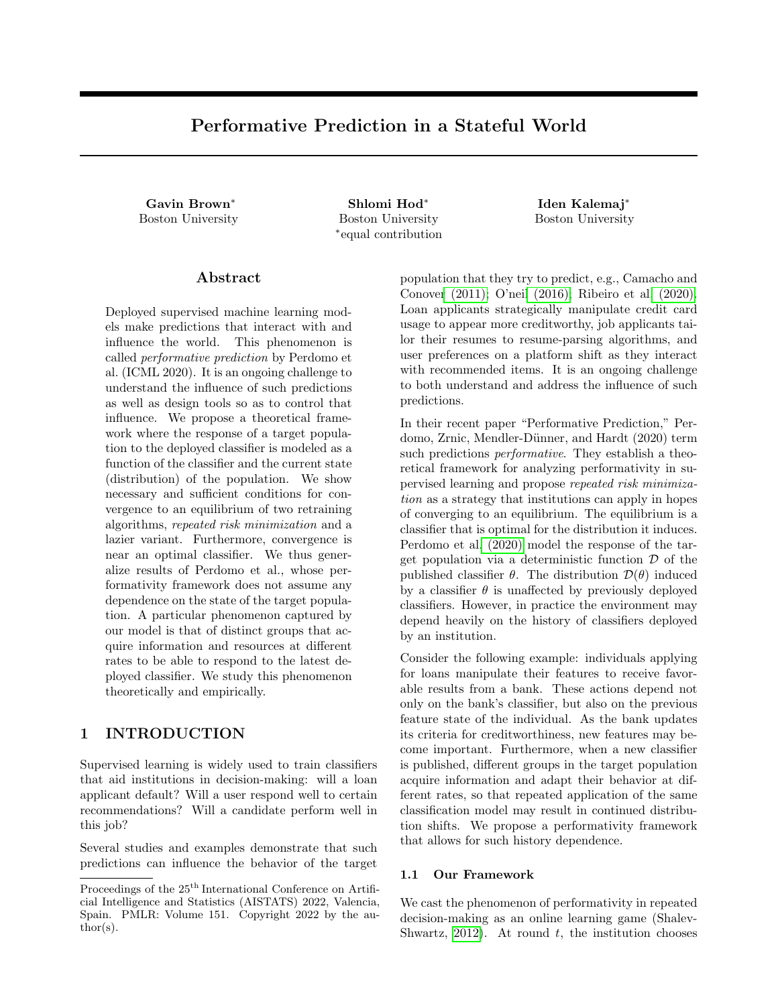- Izzo, Zachary, James Zou, and Lexing Ying (2021). \How to Learn when Data Gradually Reacts to Your Model". In: CoRR abs/2112.07042.
- Jagadeesan, Meena, Tijana Zrnic, and Celestine Mendler-Denner (2022). \Regret Minimization with Performative Feedback". In: CoRR abs/2202.00628.
- Kaggle (2011). Give Me Some Credit Dataset https: //www.kaggle.com/c/GiveMeSomeCredit .
- Li, Qiang and Hoi-To Wai (2021). \State Dependent Performative Prediction with Stochastic Approximation". In: CoRR abs/2110.00800.
- Luo, Fengqiao and Sanjay Mehrotra (2020). \Distributionally robust optimization with decision dependent ambiguity sets". In: Optimization Letters 14(8), pp. 2565{2594.
- Maheshwari, Chinmay et al. (2021). \Zeroth-Order Methods for Convex-Concave Minmax Problems: Applications to Decision-Dependent Risk Minimization". In: CoRR abs/2106.09082.
- Mendler-Danner, Celestine et al. (2020). *Stochastic* Optimization for Performative Prediction". In: Advances in Neural Information Processing Systems (NeurIPS).
- Miller, John, Chloe Hsu, et al. (2020). WhyNot.
- Miller, John, Juan C. Perdomo, and Tijana Zrnic (2021). \Outside the Echo Chamber: Optimizing the Performative Risk". In: Proceedings, International Conference on Machine Learning (ICML), pp. 7710{ 7720.
- Milli, Smitha et al. (2019). \The Social Cost of Strategic Classi cation". In: Proceedings, Conference on Fairness, Accountability, and Transparency (FAccT) , pp. 230{239.
- Munro, Evan (2020). \Learning to Personalize Treatments When Agents Are Strategic". In: CoRR abs/2011.06528.
- Narang, Adhyyan et al. (2022). \Multiplayer Performative Prediction: Learning in Decision-Dependent Games". In: CoRR abs/2201.03398.
- O'neil, Cathy (2016). Weapons of math destruction: How big data increases inequality and threatens democracy. Broadway Books.
- Perdomo, Juan C. et al. (2020). \Performative Prediction". In: Proceedings, International Conference on Machine Learning (ICML) , pp. 7599{7609.
- Ray, Mitas et al. (2022). \Decision-Dependent Risk Minimization in Geometrically Decaying Dynamic Environments". In: AAAI Conference on Arti cial Intelligence, To appear.
- Ribeiro, Manoel Horta et al. (2020). \Auditing radicalization pathways on Youtube". In: Proceedings, Conference on Fairness, Accountability, and Transparency (FAccT), pp. 131{141.
- Shalev-Shwartz, Shai (2012). \Online Learning and Online Convex Optimization". In: Foundations and Trends in Machine Learning 4(2), pp. 107{194.
- Shavit, Yonadav, Benjamin L. Edelman, and Brian Axelrod (2020). \Causal Strategic Linear Regression". In: Proceedings, International Conference on Machine Learning (ICML) , pp. 8676{8686.
- Tsirtsis, Stratis and Manuel Gomez Rodriguez (2020). \Decisions, Counterfactual Explanations and Strategic Behavior". In: Advances in Neural Information Processing Systems (NeurIPS).
- Wood, Killian, Gianluca Bianchin, and Emiliano Dall'Anese (2021). \Online Projected Gradient Descent for Stochastic Optimization with Decision-Dependent Distributions". In: CoRR abs/2107.09721.
- Zrnic, Tijana et al. (2021). \Who Leads and Who Follows in Strategic Classi cation?" In: CoRR abs/2106.12529.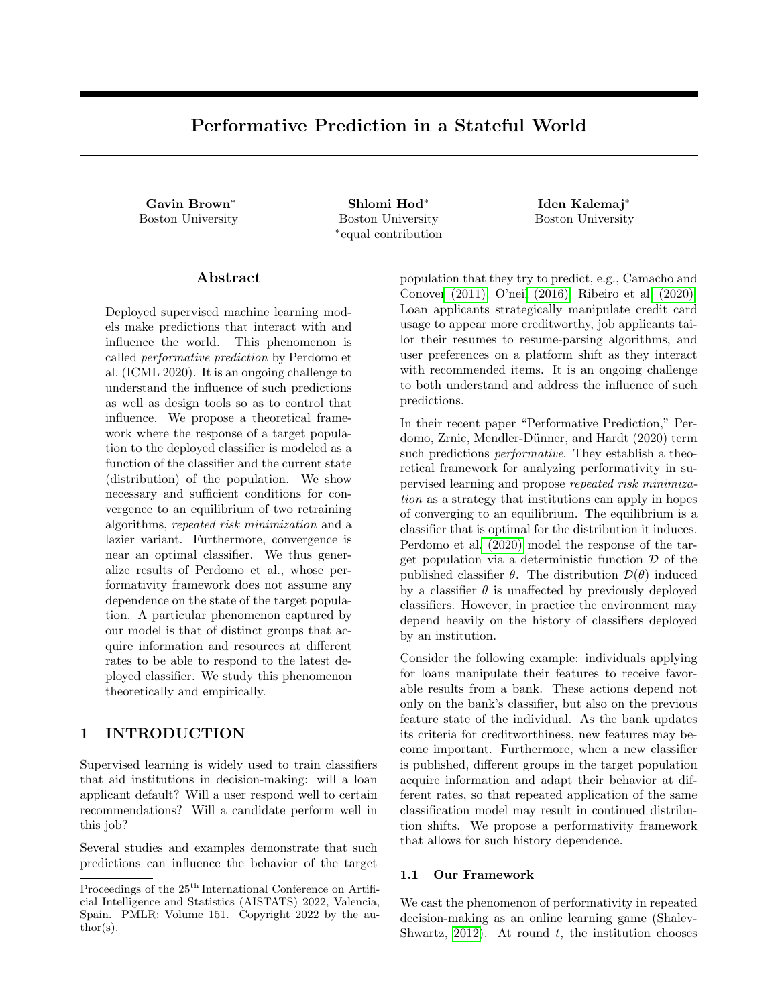# Supplementary Material: Performative Prediction in a Stateful World

## A PROOFS OF THEOREMS

We rst state some key lemmas used in the proofs of our theorems. The second lemma follows directly from the proof of Theorem 3.5 of Perdomo et al. (2020).

Lemma 1 (Bubeck (2015)). If g is convex and is a closed convex set on whichg is di erentiable, and

$$
x \quad 2 \, \underset{x2}{\text{argmin}} \, g(x);
$$

then  $(y \times)^> r g(x)$  0 for all  $y 2$ .

Lemma 2 (Perdomo et al. (2020)). Suppose the loss function  $(z; )$  is -jointly smooth and -strongly-convex. For any two distributions d;  $d^02$  ( Z), risk minimization satis es

$$
kG(d) \tG(d^0)k_2 \t-W_1(d;d^0):
$$

Lemma 3. Suppose the mapTr(;) is "-jointly sensitive with " < 1. Then for any  $_{1}$ ;  $_{2}$  2 and their corresponding xed point distributions  $d_1$ ;  $d_2$  it holds that

$$
W_1(d_1; d_2) = \frac{1}{1 - 1} k_1 = 2k_2
$$

Proof. By the de nition of xed point distributions,  $W_1(d_1; d_2) = W_1(Tr(d_1; 1); Tr(d_2; 2))$ . Since the transition map is "-jointly sensitive, we obtain

$$
W_1(d_1; d_2)
$$
 "W<sub>1</sub>(d<sub>1</sub>; d<sub>2</sub>) + "k<sub>1</sub> <sub>2</sub>k<sub>2</sub>:

The lemma follows from the equation above.

#### A.1 Proof of Theorem 1

In this section, we formally state our Delayed RRM algorithm (Algorithm 3) and prove Theorem 1, restated formally below in Theorem 8.

Algorithm 3 Main procedure Delayed RRM

```
Require: radius, loss function, initial distribution d_0, sensitivity " 2 (0; 1)
1: Let d d<sub>0</sub>.
 2: Initialize 0.
 3: loop t times:
 4: Calculate = \arg \min_{\Omega} E_{\Omega}^{\setminus}(z; \theta).
5: Update d RepeatedDeployment (d; ; ;").
```
 $\Box$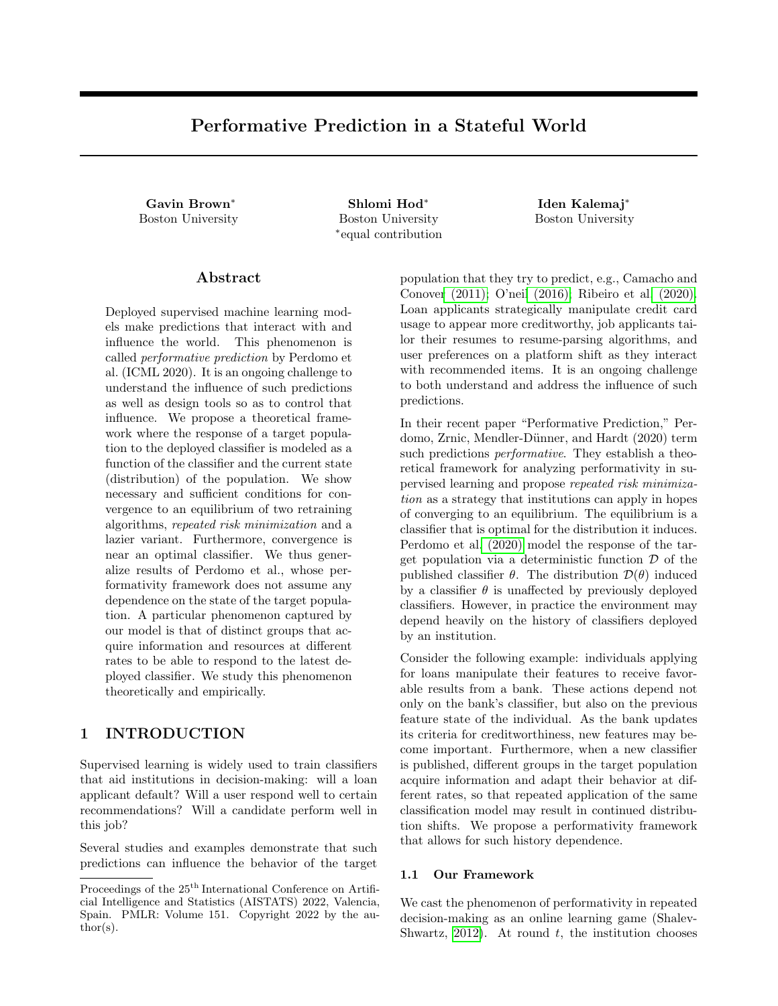| Algorithm 4<br>Sub-procedureRepeatedDeployment |
|------------------------------------------------|
|------------------------------------------------|

Require: initial distribution  $d_0$ , classi er, radius, sensitivity " 2 (0; 1). 1: Publish . 2: Observed<sub>1</sub>  $Tr(d_0; )$ . 3: Let  $d_{current}$   $d_1$ . 4: Let  $r = \log^{-1}(\frac{1}{r}) \log(\frac{W_1(d_0;d_1)}{r}).$ 5: loop r times: 6: Publish . 7: Observed<sub>current</sub>  $Tr(d_{current} ; ).$ 8: Return d<sub>current</sub>.

Theorem 8. Suppose the loss function(z; ) is -jointly smooth and -strongly convex. Let  $_1$ ; :::;  $_t$  denote the classiers obtained in each iteration of Step 4 of Algorithm 3. If the transition map Tr( ; ) is "-jointly sensitive with " < 1 and  $\frac{1}{1 - \pi}$  <  $\frac{1}{2}$ , then:

- (a) k t sk<sub>2</sub> for t 1  $\frac{2^{n}}{(1 n)}$  $1$  log( $\frac{k_0 - s k_2}{s}$ ).
- (b) Each iteration of the main loop in Algorithm  $3$  consists of  $r$  $\frac{1}{n}$ ) <sup>1</sup> log( $\frac{\text{diam}((-Z))}{n}$ ) deployments of the same classi er, wherediam(  $(2)$ ) denotes the largest  $W_1$  distance between two distributions in (Z). Thus,  $O(log^2(1))$  deployments are needed for<sub>t</sub> to be within distance of s.

We rst prove an auxiliary lemma regarding the RepeatedDeployment procedure. Lemma 4. Given a classi er, denote by  $\mathcal{F}$  the distribution returned from RepeatedDeployement (d<sub>0</sub>; ; ; ") for any  $d_0 2$  ( Z). Let d be the xed point distribution for . If " < 1, then

$$
W_1(\mathbf{F};d) \quad \frac{1}{1}.
$$

Proof. For a xed and " < 1, the map  $Tr($ ; ) is contractive with Lipschitz coe cient " and has a unique xed point d. Note that  $\mathcal{F} = Tr^{+1} (d_0; )$ , where the transition map is applied  $r + 1$  times with the same classi er . Let  $d_1 = Tr(d_0; )$ . It is easy to see that

$$
W_1(\mathbf{\mathfrak{E}}; d) \quad \frac{r+1}{1} W_1(d_0; d_1): \tag{2}
$$

For  $r = \log^{-1}(\frac{1}{r})\log(\frac{W_1(d_0;d_1)}{W_1(d_0;d_1)})$ , we obtain " $r = \frac{W_1(d_0;d_1)}{W_1(d_0;d_1)}$ . Plugging the value of " $r$  into (2) concludes the proof.  $\Box$ 

Proof of Theorem 8. We prove part (a). As before, let  $\mathcal F$  denote the distribution returned from a single call of RepeatedDeployement (; ; ; "). Note that

 $_{i+1} = G(\mathbf{\hat{F}}_i)$ :

Recall that  $S = G(d_S)$ . Then, Lemma 2 gives

$$
k_{i+1}
$$
 s $k_2 = kG(\mathfrak{E}_i) G(d_{PS})k_2 - W_1(\mathfrak{E}_i; d_S)$ : (3)

We bound the distance $W_1(\mathbf{\hat{F}}_i;\mathsf{d}_\mathsf{S})$ . Let d<sub>i</sub> be the xed point distribution for  $\Box_i$ . By the triangle inequality,

$$
W_1(\mathbf{\hat{F}}_i; d_S) \quad W_1(\mathbf{\hat{F}}_i; d_i) + W_1(d_i; d_S)
$$
 (4)

The rst term of the sum in (4) can be bound using Lemma 4, whereas the second term can be bounded using Lemma 3 and the fact that  $d_i$  and  $d_S$  are xed point distributions. We obtain

$$
W_1(\mathbf{\mathfrak{E}}_i; d_S) \quad \frac{1}{1} + \frac{1}{1} + k_i \quad sk_2.
$$
 (5)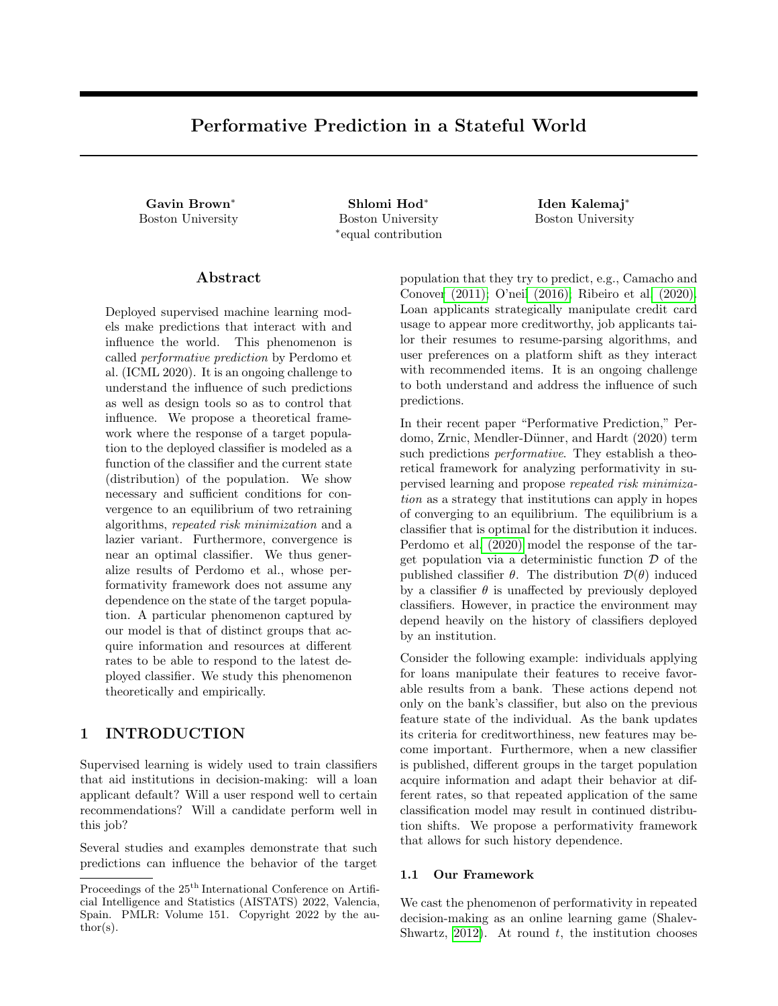We consider two cases. In the case when  $\|\theta_i - \theta_{\rm S}\|_2 > \delta$ , we show that in the next retraining round, the classifier  $\theta_{i+1}$  moves closer to  $\theta_{\mathsf{S}}$ . Replace  $\delta < ||\theta_i - \theta_{\mathsf{S}}||_2$  in (5). Then from (3) we obtain  $||\theta_{i+1} - \theta_{\mathsf{S}}||_2 \leq \frac{2^n}{1-r} - ||\theta_i - \theta_{\mathsf{S}}||_2$ , i.e., contraction happens in iteration  $i + 1$ . In the case when  $\|\theta_i - \theta_{\rm S}\|_2 \le \delta$ , combining (3) and (5) yields

$$
\|\theta_{i+1} - \theta_{\mathsf{S}}\|_2 \le \frac{2\varepsilon}{1 - \varepsilon} \frac{\beta}{\gamma} \delta \le \delta.
$$

This shows that the classifier  $\theta_{i+1}$  does not leave the ball of radius  $\delta$  around  $\theta_{\mathsf{S}}$ . The two cases combined give that for  $t \geq 1 - \frac{2^{n}}{(1 - 1)}$  $^{-1}$  log( $\frac{\parallel o - s \parallel_2}{\parallel}$ ) iterations we have

$$
\|\theta_t - \theta_{PS}\|_2 \leq \frac{2\varepsilon\beta}{\gamma(1-\varepsilon)} \quad \frac{t}{\|\theta_0 - \theta_{S}\|_2} \leq \delta,
$$

which concludes the proof of part (a). Part (b) is clear from the statement of the subprocedure RepeatedDeployement.  $\Box$ 

#### A.2 Proof of Theorem 4

Proof of Theorem 4. Note that if part (a) holds, then part (b) follows from the fact that the map f is contractive with contraction coefficient  $\varepsilon(1 + -) < 1$ . By the Banach fixed point theorem, f has a unique fixed point. Suppose  $(d^*, \theta^*)$  is the fixed point of f, so that  $f(d^*, \theta^*) = (d^*, \theta^*)$ . This point is also a stable pair for it satisfies  $d^* = \text{Tr}(d^*, \theta^*)$  and  $\theta^* = G(\text{Tr}(d^*, \theta^*)) = G(d^*).$ 

We now show part (a). We simplify notation and let  $G(d, \theta) := G(\text{Tr}(d, \theta))$ . By definition of f, it holds

$$
dist(f(d, \theta), f(d', \theta')) = dist((Tr(d, \theta), G(d, \theta)), (Tr(d', \theta'), G(d', \theta'))= \mathcal{W}_1(Tr(d, \theta), Tr(d', \theta')) + ||G(d, \theta) - G(d', \theta')||_2.
$$

The  $\varepsilon$ -joint sensitivity of the transition map yields

$$
\mathcal{W}_1(\text{Tr}(d,\theta), \text{Tr}(d',\theta')) \le \varepsilon \mathcal{W}_1(d,d') + \varepsilon \|\theta - \theta'\|_2. \tag{6}
$$

We will show that

$$
||G(d,\theta) - G(d',\theta')||_2 \leq \varepsilon \frac{\beta}{\gamma} \mathcal{W}_1(d,d') + \varepsilon \frac{\beta}{\gamma} ||\theta - \theta'||_2.
$$
\n<sup>(7)</sup>

Combining equations (6) and (7) will conclude the proof. We obtain (7) by using Lemma 2 with distributions  $Tr(d, \theta)$  and  $Tr(d', \theta')$  together with the sensitivity of the transition map. This gives

$$
||G(d,\theta) - G(d',\theta')||_2 \leq \frac{\beta}{\gamma} (W_1(\text{Tr}(d,\theta), \text{Tr}(d',\theta'))) \leq \frac{\beta}{\gamma} (\varepsilon W_1(d,d') + \varepsilon ||\theta - \theta'||_2).
$$

#### A.3 Proof of Theorem 5

In this section, we show Theorem 5 on the performance of RERM. In particular, we show that for iterates  $(d_{t-1}, \theta_t)$  of RERM it holds that

$$
dist((d_{t-1}, \theta_t), (d_S, \theta_S)) \le \delta \text{ for all } t \ge 1 - 2\varepsilon \ 1 + \frac{\beta}{\gamma} \quad \log \frac{\text{dist}((d_0, \theta_1), (d_S, \theta_S))}{\delta} \ .
$$

*Proof of Theorem 5.* Given a distribution d, let  $d^{(n)}$  denote the empirical distribution over the n samples drawn from d. Let  $\mathcal{G}(d) := G(d^{(n)})$ . Define the RERM Map  $\mathcal{F}(d, \theta) = (\text{Tr}(d, \theta), \mathcal{G}(\text{Tr}(d, \theta))$ . Our analysis relies on the following assumption.

**Assumption 1.** For each timestep  $t \geq 1$ , it holds that  $\mathcal{W}_1(d_t^{(n_t)}, d_t) \leq \varepsilon \left(1 + -\delta\right)$ .

Given Assumption 1, we show that one of the following holds for each  $t \geq 1$ :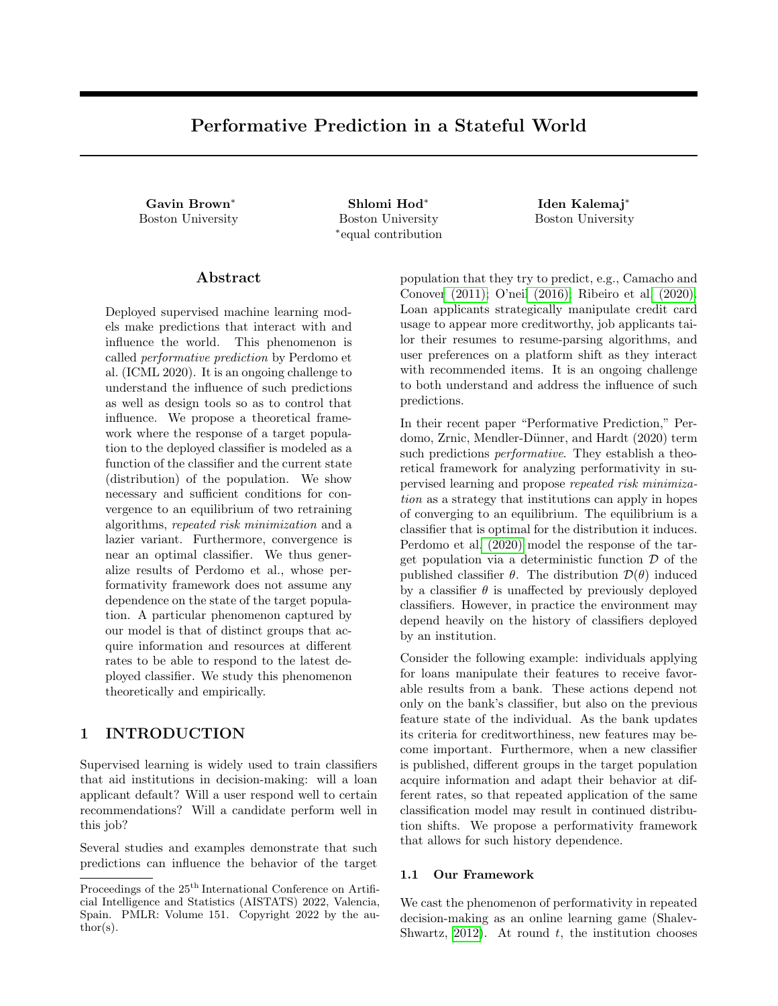- 1. If the iterate  $(d_{t-1}, \theta_t)$  is at distance at least  $\delta$  from  $(d_S, \theta_S)$ , then the distance of the next iterate  $(d_t, \theta_{t+1})$ to  $(d<sub>S</sub>, \theta<sub>S</sub>)$  will contract by a factor of at least  $2\varepsilon$  1+-.
- 2. If the iterate  $(d_{t-1}, \theta_t)$  is within a ball of radius  $\delta$  of  $(d_S, \theta_S)$ , then the next iterate will also be within this ball.

By Theorem 2 of Fournier and Guillin (2015), if  $n_t = O \frac{1}{\binom{n(1 + -1)}{n}} \log(t/p)$ , then  $W_1(d_t^{(n_t)}, d_t) \geq \varepsilon 1 - \delta$ with probability at most  $\frac{6p}{2t^2}$ . By a Union Bound over all t, we obtain that Assumption 1 holds with probability at least  $1 - \int_{t=1}^{\infty} \frac{6p}{2t^2} = 1 - p$ .

We start by showing Item 1 is true under Assumption 1. Suppose  $dist((d, \theta), (d<sub>S</sub>, \theta<sub>S</sub>)) \geq \delta$ . Then

$$
dist(\hat{f}(d,\theta), (d_{\mathsf{S}}, \theta_{\mathsf{S}}))
$$
  
=  $\mathcal{W}_1(\text{Tr}(d,\theta), d_{\mathsf{S}}) + ||\hat{\mathcal{G}}(\text{Tr}(d,\theta)) - \theta_{\mathsf{S}}||_2$ 

$$
\leq W_1(\text{Tr}(d,\theta), \text{Tr}(d_S, \theta_S)) + \|\hat{\mathcal{G}}(\text{Tr}(d,\theta)) - G(\text{Tr}(d,\theta))\|_2 + \|G(\text{Tr}(d,\theta)) - G(\text{Tr}(d_S, \theta_S))\|_2 \tag{8}
$$

$$
\leq \varepsilon \mathcal{W}_1(d, d_S) + \varepsilon \left\|\theta - \theta_S\right\|_2 + \frac{\beta}{\gamma} \mathcal{W}_1(\text{Tr}(d, \theta)^{(n)}, \text{Tr}(d, \theta)) + \frac{\beta}{\gamma} \mathcal{W}_1(\text{Tr}(d, \theta), \text{Tr}(d_S, \theta_S))\tag{9}
$$

$$
\leq \varepsilon \mathcal{W}_1(d, d_S) + \varepsilon \left\|\theta - \theta_S\right\|_2 + \frac{\beta}{\gamma} \varepsilon \left(1 + \frac{\gamma}{\beta} \right) \delta + \frac{\beta}{\gamma} (\varepsilon \mathcal{W}_1(d, d_S) + \varepsilon \left\|\theta - \theta_S\right\|_2)
$$
(10)

$$
= \varepsilon \ 1 + \frac{\beta}{\gamma} \ \text{dist}((d, \theta), (d_{\mathsf{S}}, \theta_{\mathsf{S}})) + \varepsilon \ 1 + \frac{\beta}{\gamma} \ \delta
$$
  

$$
\leq 2\varepsilon \ 1 + \frac{\beta}{\gamma} \ \text{dist}((d, \theta), (d_{\mathsf{S}}, \theta_{\mathsf{S}})).
$$
 (11)

In Eq. (8) we use the triangle inequality. Eq. (9) follows by applying the  $\varepsilon$ -Lipschitzness of the transition map to bound the first term and Lemma 2 to bound the second and third term. In Eq. (10), we use Assumption 1 to bound the second term and ε-Lipschitzness to bound the third term. Finally, in Eq. (11), we use the assumption that dist $((d, \theta), (d_{\mathsf{S}}, \theta_{\mathsf{S}})) \geq \delta$ . Therefore, Item 1 holds.

To show Item 2, suppose that  $dist((d, \theta), (d_S, \theta_S)) < \delta$ . We show that  $dist(f(d, \theta), (d_S, \theta_S)) < \delta$ . From the previous argument, under Assumption 1, it holds

$$
\text{dist}(\widehat{f}(d,\theta),(d_{\mathsf{S}},\theta_{\mathsf{S}}))\leq \varepsilon\ \, 1+\frac{\beta}{\gamma}\ \, \text{dist}((d,\theta),(d_{\mathsf{S}},\theta_{\mathsf{S}}))+\varepsilon\ \, 1+\frac{\beta}{\gamma}\ \, \delta\leq 2\varepsilon\ \, 1+\frac{\beta}{\gamma}\ \, \delta.
$$

From the assumption that  $2\varepsilon$  1 + -  $\lt$  1 we obtain Item 2.

It remains to show that under Assumption 1 the iterates  $(d_{t-1}, \theta_t)$  will reach a ball of radius  $\delta$  around  $(d_S, \theta_S)$ for  $t \geq 1-2\varepsilon$   $1+\frac{1}{2\varepsilon}$   $\frac{\text{dist}((d_0;\cdot_1):(d_5;\cdot_5))}{\varepsilon}$ . Suppose the assumption on t holds. Furthermore, suppose that none of the iterates  $(d_0, \theta_1), \ldots, (d_{t-2}, \theta_{t-1})$  are within a radius  $\delta$  of  $(d_5, \theta_5)$ . By Assumption 1, Item 1, it holds

$$
dist((d_{t-1}, \theta_t), (d_S, \theta_S)) \leq 2\varepsilon \ 1 + \frac{\beta}{\gamma} \left( \frac{d_{\text{dist}}((d_0, \theta_1), (d_S, \theta_S))}{\text{dist}((d_0, \theta_1), (d_S, \theta_S))} \right)
$$
  

$$
\leq \exp(-t) 1 - 2\varepsilon \ 1 + \frac{\beta}{\gamma} \ \text{dist}((d_0, \theta_1), (d_S, \theta_S))
$$
  

$$
\leq \delta.
$$

If one of the iterates  $(d_0, \theta_1), \ldots, (d_{t-2}, \theta_{t-1})$  is within a radius  $\delta$  of  $(d_5, \theta_5)$ , then by Assumption 1, Item 2, all consecutive iterates will also be within a radius  $\delta$  of a stable pair. Since Assumption 1 holds with probability  $1 - p$ , this concludes the proof.  $\Box$ 

#### A.4 Proof of Theorem 6

*Proof of Theorem 6.* Our proof is similar to an argument of Perdomo et al. (2020). Let  $\theta_{\text{OPT}}$  be an optimal classifier and let  $d_{\text{OPT}}$  be its corresponding fixed point distribution. Let  $\theta_{\text{S}}$  be a stable classifier, with corresponding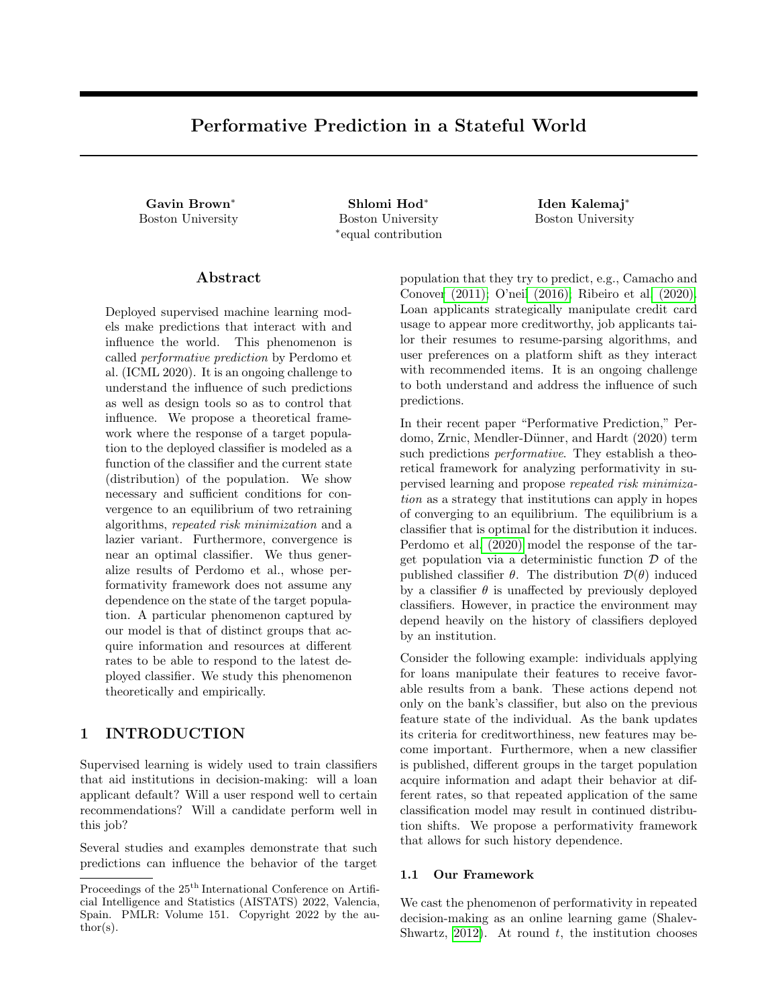fixed point distribution  $d<sub>S</sub>$ . By the definitions of optimality and stability,

$$
\mathop{\mathsf{E}}_{z \sim d_{\mathsf{OPT}}} \ell(z; \theta_{\mathsf{OPT}}) \leq \mathop{\mathsf{E}}_{z \sim d_{\mathsf{S}}} \ell(z; \theta_{\mathsf{S}}) \leq \mathop{\mathsf{E}}_{z \sim d_{\mathsf{S}}} \ell(z; \theta_{\mathsf{OPT}}). \tag{12}
$$

We first show that

$$
\mathbb{E}_{z \sim d_{\mathbb{S}}} \ell(z; \theta_{\text{OPT}}) - \mathbb{E}_{z \sim d_{\mathbb{S}}} \ell(z; \theta_{\mathbb{S}}) \ge \frac{\gamma}{2} ||\theta_{\text{OPT}} - \theta_{\mathbb{S}}||_2^2.
$$
\n(13)

By the strong convexity of the loss function, for all  $z \in \mathcal{Z}$  it holds

$$
\ell(z; \theta_{\text{OPT}}) \geq \ell(z; \theta_{\text{S}}) + \nabla \ell(z; \theta_{\text{S}})^{\top} (\theta_{\text{OPT}} - \theta_{\text{S}}) + \frac{\gamma}{2} \|\theta_{\text{OPT}} - \theta_{\text{S}}\|_2^2.
$$

As a result,

$$
\mathop{\mathbb{E}}_{z \sim d_{\mathsf{S}}} \ell(z; \theta_{\mathsf{OPT}}) - \ell(z; \theta_{\mathsf{S}}) \geq \mathop{\mathbb{E}}_{z \sim d_{\mathsf{S}}} \nabla \ell(z; \theta_{\mathsf{S}})^{\top} (\theta_{\mathsf{OPT}} - \theta_{\mathsf{S}}) + \frac{\gamma}{2} \|\theta_{\mathsf{OPT}} - \theta_{\mathsf{S}}\|_2^2.
$$

Since  $\theta$ <sub>S</sub> minimizes the value of  $\ell$  over the distribution  $d$ <sub>S</sub>, Lemma 1 implies

$$
\underset{z \sim d_{\rm S}}{\mathbb{E}} \nabla \ell(z; \theta_{\rm S})^{\top} (\theta_{\rm OPT} - \theta_{\rm S}) \geq 0.
$$

Therefore, Eq. (13) holds. On the other hand, since the loss is  $L_z$ -Lipschitz in z, by Lemma 3,

$$
\mathop{\mathbb{E}}_{z \sim d_S} \ell(z; \theta_{\text{OPT}}) - \mathop{\mathbb{E}}_{z \sim d_{\text{OPT}}} \ell(z; \theta_{\text{OPT}}) \leq L_z \mathcal{W}_1(d_S, d_{\text{OPT}}) \leq \frac{L_z \varepsilon}{1 - \varepsilon} \|\theta_{\text{OPT}} - \theta_S\|_2.
$$

If  $\frac{1}{1-z} < \frac{\parallel$  opt – s $\parallel_2$  $\frac{p_{\text{T}}-s\|_2}{2L_z}$  then  $\frac{L_z''}{1-z}\|\theta_{\text{OPT}}-\theta_{\text{S}}\|_2 \leq \frac{1}{2}\|\theta_{\text{OPT}}-\theta_{\text{S}}\|_2^2$ . This would imply that E  $E_{z \sim d_S} \ell(z; \theta_{\text{OPT}}) - E_{z \sim d_{\text{OPT}}} \ell(z; \theta_{\text{OPT}}) \leq E_{z \sim d_S} \ell(z; \theta_{\text{OPT}}) - E_{z \sim d_S} \ell(z; \theta_S),$ 

which contradicts Eq. (12). Therefore,  $\frac{r}{1-r} \geq \frac{\|\text{OPT}-\text{s}\|_2}{2L_z}$  $\frac{\text{PT} - \text{S} \parallel 2}{2L_z}$ , as desired.

#### A.5 Proof of Theorem 7

In this section, we show Theorem 7 on the performance of RRM and k-Delayed RRM for the setting of Example 1.

*Proof of Theorem 7.* k-Delayed RRM. Let  $(d_{kt-1}, \theta_{kt})$  be the iterates of Algorithm 2 at timestep kt for  $t \geq 1$ . Since kt is a multiple of k, then  $\theta_{kt} = G(d_{kt-1})$  and all components  $d_{kt}^{\vert j}, j \in [k]$  of the mixture distribution  $d_{kt-1}$ are identical. Therefore  $\theta_{kt} = G(d_{ki}^{\vert k}$ <sup>|k</sup><sub>kt−1</sub>). Additionally,  $d_{k(t+1)-1}^{k} = \mathcal{D}(\theta_{kt})$ . Therefore, the iterates  $(d_{ki}^{k})$  $\kappa_{k,t-1}^{\kappa}, \theta_{kt}$ where  $t \geq 1$ , correspond to the iterates of RRM in the stateless setting of Perdomo et al. (2020). By Theorem 3.5 of Perdomo et al. (2020), the iterates  $\theta_{kt}$  converge to  $\theta_{S}$  at rate  $1-\varepsilon-\frac{t}{\varepsilon}$ . In turn, it follows that the iterates of Algorithm 2 converge to  $\theta_{\mathsf{S}}$  at rate  $k$  1 –  $\varepsilon$ t .

**RRM.** Let  $\theta_S$  denote a stable classifier for  $\mathcal{D}(\theta)$ , and let  $d_S = \mathcal{D}(\theta_S)$ . Let  $\mathbf{d}_S = (d_S, \dots, d_S)$  be the uniform mixture on k identical components  $d_S$ . Then,  $(d_S, \theta_S)$  is a stable point for Tr because  $Tr(d_S, \theta_S)$  =  $(\mathcal{D}(\theta_{\mathsf{S}}), d_{\mathsf{S}}, \ldots, d_{\mathsf{S}}) = \mathbf{d}_{\mathsf{S}},$  and  $\theta_{\mathsf{S}}$  is the classifier that minimizes loss on  $\mathbf{d}_{\mathsf{S}}$ . Let  $(d_{t-1}, \theta_t)$  denote the iterates of

RRM in the setting of Example 1 and suppose 
$$
t \geq k
$$
. Then,

\n
$$
\|\theta_t - \theta_S\|_2 = \|G(d_{t-1}) - G(\theta_S)\|_2 \leq \frac{\beta}{\gamma} \mathcal{W}_1(d_{t-1}, d_S)
$$
\n
$$
\leq \frac{\beta}{\gamma} \frac{1}{k} \sum_{i=1}^k \mathcal{W}_1(d_{t-1}^{|i}, d_S)
$$
\n
$$
= \frac{\beta}{\gamma} \frac{1}{k} \sum_{i=1}^k \mathcal{W}_1(\mathcal{D}(\theta_{t-i}), \mathcal{D}(\theta_S))
$$
\n
$$
\leq \frac{\beta}{\gamma} \frac{1}{k} \sum_{i=1}^k \|\theta_{t-i} - \theta_S\|_2,
$$

 $\Box$